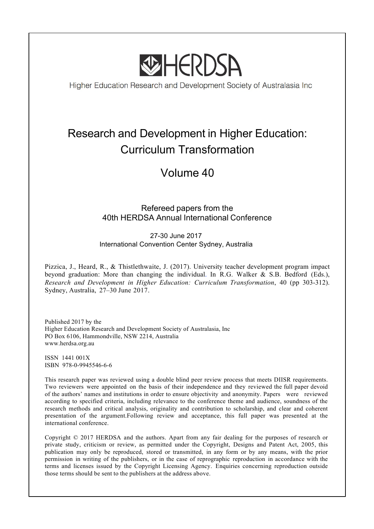

Higher Education Research and Development Society of Australasia Inc

# Research and Development in Higher Education: Curriculum Transformation

## Volume 40

## Refereed papers from the 40th HERDSA Annual International Conference

27-30 June 2017 International Convention Center Sydney, Australia

Pizzica, J., Heard, R., & Thistlethwaite, J. (2017). University teacher development program impact beyond graduation: More than changing the individual. In R.G. Walker & S.B. Bedford (Eds.), *Research and Development in Higher Education: Curriculum Transformation*, 40 (pp 303-312). Sydney, Australia, 27–30 June 2017.

Published 2017 by the Higher Education Research and Development Society of Australasia, Inc PO Box 6106, Hammondville, NSW 2214, Australia www.herdsa.org.au

ISSN 1441 001X ISBN 978-0-9945546-6-6

This research paper was reviewed using a double blind peer review process that meets DIISR requirements. Two reviewers were appointed on the basis of their independence and they reviewed the full paper devoid of the authors' names and institutions in order to ensure objectivity and anonymity. Papers were reviewed according to specified criteria, including relevance to the conference theme and audience, soundness of the research methods and critical analysis, originality and contribution to scholarship, and clear and coherent presentation of the argument.Following review and acceptance, this full paper was presented at the international conference.

Copyright © 2017 HERDSA and the authors. Apart from any fair dealing for the purposes of research or private study, criticism or review, as permitted under the Copyright, Designs and Patent Act, 2005, this publication may only be reproduced, stored or transmitted, in any form or by any means, with the prior permission in writing of the publishers, or in the case of reprographic reproduction in accordance with the terms and licenses issued by the Copyright Licensing Agency. Enquiries concerning reproduction outside those terms should be sent to the publishers at the address above.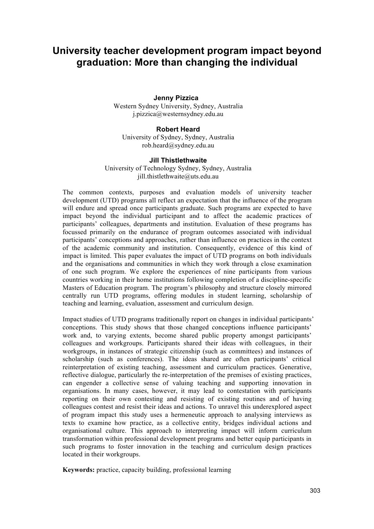## **University teacher development program impact beyond graduation: More than changing the individual**

#### **Jenny Pizzica**

Western Sydney University, Sydney, Australia j.pizzica@westernsydney.edu.au

#### **Robert Heard**

University of Sydney, Sydney, Australia rob.heard@sydney.edu.au

#### **Jill Thistlethwaite**

University of Technology Sydney, Sydney, Australia jill.thistlethwaite@uts.edu.au

The common contexts, purposes and evaluation models of university teacher development (UTD) programs all reflect an expectation that the influence of the program will endure and spread once participants graduate. Such programs are expected to have impact beyond the individual participant and to affect the academic practices of participants' colleagues, departments and institution. Evaluation of these programs has focussed primarily on the endurance of program outcomes associated with individual participants' conceptions and approaches, rather than influence on practices in the context of the academic community and institution. Consequently, evidence of this kind of impact is limited. This paper evaluates the impact of UTD programs on both individuals and the organisations and communities in which they work through a close examination of one such program. We explore the experiences of nine participants from various countries working in their home institutions following completion of a discipline-specific Masters of Education program. The program's philosophy and structure closely mirrored centrally run UTD programs, offering modules in student learning, scholarship of teaching and learning, evaluation, assessment and curriculum design.

Impact studies of UTD programs traditionally report on changes in individual participants' conceptions. This study shows that those changed conceptions influence participants' work and, to varying extents, become shared public property amongst participants' colleagues and workgroups. Participants shared their ideas with colleagues, in their workgroups, in instances of strategic citizenship (such as committees) and instances of scholarship (such as conferences). The ideas shared are often participants' critical reinterpretation of existing teaching, assessment and curriculum practices. Generative, reflective dialogue, particularly the re-interpretation of the premises of existing practices, can engender a collective sense of valuing teaching and supporting innovation in organisations. In many cases, however, it may lead to contestation with participants reporting on their own contesting and resisting of existing routines and of having colleagues contest and resist their ideas and actions. To unravel this underexplored aspect of program impact this study uses a hermeneutic approach to analysing interviews as texts to examine how practice, as a collective entity, bridges individual actions and organisational culture. This approach to interpreting impact will inform curriculum transformation within professional development programs and better equip participants in such programs to foster innovation in the teaching and curriculum design practices located in their workgroups.

**Keywords:** practice, capacity building, professional learning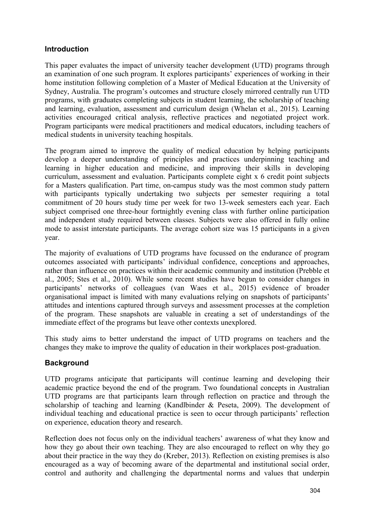#### **Introduction**

This paper evaluates the impact of university teacher development (UTD) programs through an examination of one such program. It explores participants' experiences of working in their home institution following completion of a Master of Medical Education at the University of Sydney, Australia. The program's outcomes and structure closely mirrored centrally run UTD programs, with graduates completing subjects in student learning, the scholarship of teaching and learning, evaluation, assessment and curriculum design (Whelan et al., 2015). Learning activities encouraged critical analysis, reflective practices and negotiated project work. Program participants were medical practitioners and medical educators, including teachers of medical students in university teaching hospitals.

The program aimed to improve the quality of medical education by helping participants develop a deeper understanding of principles and practices underpinning teaching and learning in higher education and medicine, and improving their skills in developing curriculum, assessment and evaluation. Participants complete eight x 6 credit point subjects for a Masters qualification. Part time, on-campus study was the most common study pattern with participants typically undertaking two subjects per semester requiring a total commitment of 20 hours study time per week for two 13-week semesters each year. Each subject comprised one three-hour fortnightly evening class with further online participation and independent study required between classes. Subjects were also offered in fully online mode to assist interstate participants. The average cohort size was 15 participants in a given year.

The majority of evaluations of UTD programs have focussed on the endurance of program outcomes associated with participants' individual confidence, conceptions and approaches, rather than influence on practices within their academic community and institution (Prebble et al., 2005; Stes et al., 2010). While some recent studies have begun to consider changes in participants' networks of colleagues (van Waes et al., 2015) evidence of broader organisational impact is limited with many evaluations relying on snapshots of participants' attitudes and intentions captured through surveys and assessment processes at the completion of the program. These snapshots are valuable in creating a set of understandings of the immediate effect of the programs but leave other contexts unexplored.

This study aims to better understand the impact of UTD programs on teachers and the changes they make to improve the quality of education in their workplaces post-graduation.

### **Background**

UTD programs anticipate that participants will continue learning and developing their academic practice beyond the end of the program. Two foundational concepts in Australian UTD programs are that participants learn through reflection on practice and through the scholarship of teaching and learning (Kandlbinder & Peseta, 2009). The development of individual teaching and educational practice is seen to occur through participants' reflection on experience, education theory and research.

Reflection does not focus only on the individual teachers' awareness of what they know and how they go about their own teaching. They are also encouraged to reflect on why they go about their practice in the way they do (Kreber, 2013). Reflection on existing premises is also encouraged as a way of becoming aware of the departmental and institutional social order, control and authority and challenging the departmental norms and values that underpin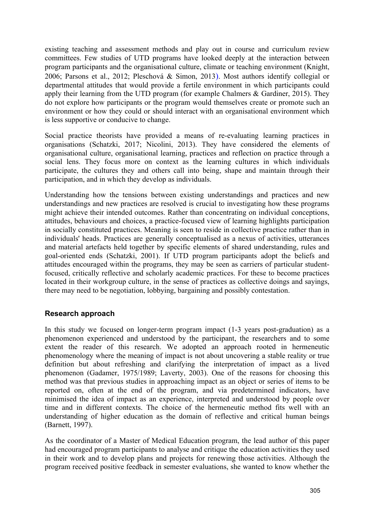existing teaching and assessment methods and play out in course and curriculum review committees. Few studies of UTD programs have looked deeply at the interaction between program participants and the organisational culture, climate or teaching environment (Knight, 2006; Parsons et al., 2012; Pleschová & Simon, 2013). Most authors identify collegial or departmental attitudes that would provide a fertile environment in which participants could apply their learning from the UTD program (for example Chalmers & Gardiner, 2015). They do not explore how participants or the program would themselves create or promote such an environment or how they could or should interact with an organisational environment which is less supportive or conducive to change.

Social practice theorists have provided a means of re-evaluating learning practices in organisations (Schatzki, 2017; Nicolini, 2013). They have considered the elements of organisational culture, organisational learning, practices and reflection on practice through a social lens. They focus more on context as the learning cultures in which individuals participate, the cultures they and others call into being, shape and maintain through their participation, and in which they develop as individuals.

Understanding how the tensions between existing understandings and practices and new understandings and new practices are resolved is crucial to investigating how these programs might achieve their intended outcomes. Rather than concentrating on individual conceptions, attitudes, behaviours and choices, a practice-focused view of learning highlights participation in socially constituted practices. Meaning is seen to reside in collective practice rather than in individuals' heads. Practices are generally conceptualised as a nexus of activities, utterances and material artefacts held together by specific elements of shared understanding, rules and goal-oriented ends (Schatzki, 2001). If UTD program participants adopt the beliefs and attitudes encouraged within the programs, they may be seen as carriers of particular studentfocused, critically reflective and scholarly academic practices. For these to become practices located in their workgroup culture, in the sense of practices as collective doings and sayings, there may need to be negotiation, lobbying, bargaining and possibly contestation.

#### **Research approach**

In this study we focused on longer-term program impact (1-3 years post-graduation) as a phenomenon experienced and understood by the participant, the researchers and to some extent the reader of this research. We adopted an approach rooted in hermeneutic phenomenology where the meaning of impact is not about uncovering a stable reality or true definition but about refreshing and clarifying the interpretation of impact as a lived phenomenon (Gadamer, 1975/1989; Laverty, 2003). One of the reasons for choosing this method was that previous studies in approaching impact as an object or series of items to be reported on, often at the end of the program, and via predetermined indicators, have minimised the idea of impact as an experience, interpreted and understood by people over time and in different contexts. The choice of the hermeneutic method fits well with an understanding of higher education as the domain of reflective and critical human beings (Barnett, 1997).

As the coordinator of a Master of Medical Education program, the lead author of this paper had encouraged program participants to analyse and critique the education activities they used in their work and to develop plans and projects for renewing those activities. Although the program received positive feedback in semester evaluations, she wanted to know whether the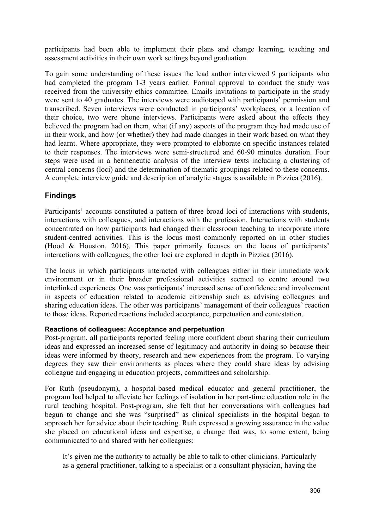participants had been able to implement their plans and change learning, teaching and assessment activities in their own work settings beyond graduation.

To gain some understanding of these issues the lead author interviewed 9 participants who had completed the program 1-3 years earlier. Formal approval to conduct the study was received from the university ethics committee. Emails invitations to participate in the study were sent to 40 graduates. The interviews were audiotaped with participants' permission and transcribed. Seven interviews were conducted in participants' workplaces, or a location of their choice, two were phone interviews. Participants were asked about the effects they believed the program had on them, what (if any) aspects of the program they had made use of in their work, and how (or whether) they had made changes in their work based on what they had learnt. Where appropriate, they were prompted to elaborate on specific instances related to their responses. The interviews were semi-structured and 60-90 minutes duration. Four steps were used in a hermeneutic analysis of the interview texts including a clustering of central concerns (loci) and the determination of thematic groupings related to these concerns. A complete interview guide and description of analytic stages is available in Pizzica (2016).

### **Findings**

Participants' accounts constituted a pattern of three broad loci of interactions with students, interactions with colleagues, and interactions with the profession. Interactions with students concentrated on how participants had changed their classroom teaching to incorporate more student-centred activities. This is the locus most commonly reported on in other studies (Hood & Houston, 2016). This paper primarily focuses on the locus of participants' interactions with colleagues; the other loci are explored in depth in Pizzica (2016).

The locus in which participants interacted with colleagues either in their immediate work environment or in their broader professional activities seemed to centre around two interlinked experiences. One was participants' increased sense of confidence and involvement in aspects of education related to academic citizenship such as advising colleagues and sharing education ideas. The other was participants' management of their colleagues' reaction to those ideas. Reported reactions included acceptance, perpetuation and contestation.

#### **Reactions of colleagues: Acceptance and perpetuation**

Post-program, all participants reported feeling more confident about sharing their curriculum ideas and expressed an increased sense of legitimacy and authority in doing so because their ideas were informed by theory, research and new experiences from the program. To varying degrees they saw their environments as places where they could share ideas by advising colleague and engaging in education projects, committees and scholarship.

For Ruth (pseudonym), a hospital-based medical educator and general practitioner, the program had helped to alleviate her feelings of isolation in her part-time education role in the rural teaching hospital. Post-program, she felt that her conversations with colleagues had begun to change and she was "surprised" as clinical specialists in the hospital began to approach her for advice about their teaching. Ruth expressed a growing assurance in the value she placed on educational ideas and expertise, a change that was, to some extent, being communicated to and shared with her colleagues:

It's given me the authority to actually be able to talk to other clinicians. Particularly as a general practitioner, talking to a specialist or a consultant physician, having the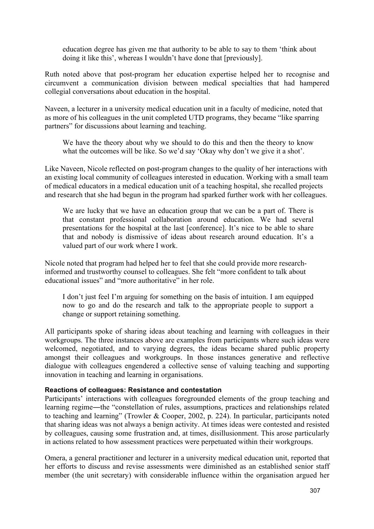education degree has given me that authority to be able to say to them 'think about doing it like this', whereas I wouldn't have done that [previously].

Ruth noted above that post-program her education expertise helped her to recognise and circumvent a communication division between medical specialties that had hampered collegial conversations about education in the hospital.

Naveen, a lecturer in a university medical education unit in a faculty of medicine, noted that as more of his colleagues in the unit completed UTD programs, they became "like sparring partners" for discussions about learning and teaching.

We have the theory about why we should to do this and then the theory to know what the outcomes will be like. So we'd say 'Okay why don't we give it a shot'.

Like Naveen, Nicole reflected on post-program changes to the quality of her interactions with an existing local community of colleagues interested in education. Working with a small team of medical educators in a medical education unit of a teaching hospital, she recalled projects and research that she had begun in the program had sparked further work with her colleagues.

We are lucky that we have an education group that we can be a part of. There is that constant professional collaboration around education. We had several presentations for the hospital at the last [conference]. It's nice to be able to share that and nobody is dismissive of ideas about research around education. It's a valued part of our work where I work.

Nicole noted that program had helped her to feel that she could provide more researchinformed and trustworthy counsel to colleagues. She felt "more confident to talk about educational issues" and "more authoritative" in her role.

I don't just feel I'm arguing for something on the basis of intuition. I am equipped now to go and do the research and talk to the appropriate people to support a change or support retaining something.

All participants spoke of sharing ideas about teaching and learning with colleagues in their workgroups. The three instances above are examples from participants where such ideas were welcomed, negotiated, and to varying degrees, the ideas became shared public property amongst their colleagues and workgroups. In those instances generative and reflective dialogue with colleagues engendered a collective sense of valuing teaching and supporting innovation in teaching and learning in organisations.

#### **Reactions of colleagues: Resistance and contestation**

Participants' interactions with colleagues foregrounded elements of the group teaching and learning regime―the "constellation of rules, assumptions, practices and relationships related to teaching and learning" (Trowler & Cooper, 2002, p. 224). In particular, participants noted that sharing ideas was not always a benign activity. At times ideas were contested and resisted by colleagues, causing some frustration and, at times, disillusionment. This arose particularly in actions related to how assessment practices were perpetuated within their workgroups.

Omera, a general practitioner and lecturer in a university medical education unit, reported that her efforts to discuss and revise assessments were diminished as an established senior staff member (the unit secretary) with considerable influence within the organisation argued her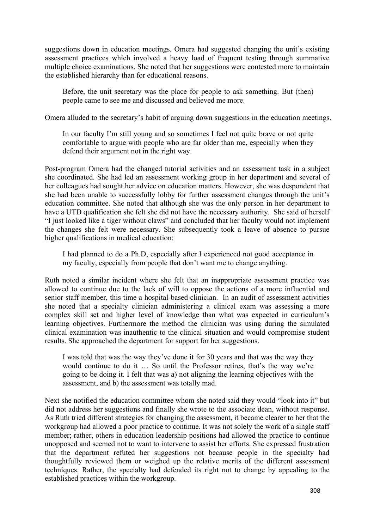suggestions down in education meetings. Omera had suggested changing the unit's existing assessment practices which involved a heavy load of frequent testing through summative multiple choice examinations. She noted that her suggestions were contested more to maintain the established hierarchy than for educational reasons.

Before, the unit secretary was the place for people to ask something. But (then) people came to see me and discussed and believed me more.

Omera alluded to the secretary's habit of arguing down suggestions in the education meetings.

In our faculty I'm still young and so sometimes I feel not quite brave or not quite comfortable to argue with people who are far older than me, especially when they defend their argument not in the right way.

Post-program Omera had the changed tutorial activities and an assessment task in a subject she coordinated. She had led an assessment working group in her department and several of her colleagues had sought her advice on education matters. However, she was despondent that she had been unable to successfully lobby for further assessment changes through the unit's education committee. She noted that although she was the only person in her department to have a UTD qualification she felt she did not have the necessary authority. She said of herself "I just looked like a tiger without claws" and concluded that her faculty would not implement the changes she felt were necessary. She subsequently took a leave of absence to pursue higher qualifications in medical education:

I had planned to do a Ph.D, especially after I experienced not good acceptance in my faculty, especially from people that don't want me to change anything.

Ruth noted a similar incident where she felt that an inappropriate assessment practice was allowed to continue due to the lack of will to oppose the actions of a more influential and senior staff member, this time a hospital-based clinician. In an audit of assessment activities she noted that a specialty clinician administering a clinical exam was assessing a more complex skill set and higher level of knowledge than what was expected in curriculum's learning objectives. Furthermore the method the clinician was using during the simulated clinical examination was inauthentic to the clinical situation and would compromise student results. She approached the department for support for her suggestions.

I was told that was the way they've done it for 30 years and that was the way they would continue to do it … So until the Professor retires, that's the way we're going to be doing it. I felt that was a) not aligning the learning objectives with the assessment, and b) the assessment was totally mad.

Next she notified the education committee whom she noted said they would "look into it" but did not address her suggestions and finally she wrote to the associate dean, without response. As Ruth tried different strategies for changing the assessment, it became clearer to her that the workgroup had allowed a poor practice to continue. It was not solely the work of a single staff member; rather, others in education leadership positions had allowed the practice to continue unopposed and seemed not to want to intervene to assist her efforts. She expressed frustration that the department refuted her suggestions not because people in the specialty had thoughtfully reviewed them or weighed up the relative merits of the different assessment techniques. Rather, the specialty had defended its right not to change by appealing to the established practices within the workgroup.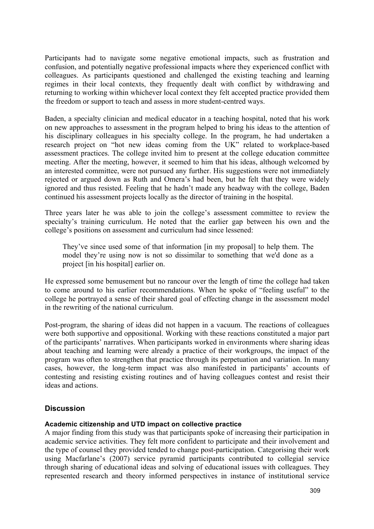Participants had to navigate some negative emotional impacts, such as frustration and confusion, and potentially negative professional impacts where they experienced conflict with colleagues. As participants questioned and challenged the existing teaching and learning regimes in their local contexts, they frequently dealt with conflict by withdrawing and returning to working within whichever local context they felt accepted practice provided them the freedom or support to teach and assess in more student-centred ways.

Baden, a specialty clinician and medical educator in a teaching hospital, noted that his work on new approaches to assessment in the program helped to bring his ideas to the attention of his disciplinary colleagues in his specialty college. In the program, he had undertaken a research project on "hot new ideas coming from the UK" related to workplace-based assessment practices. The college invited him to present at the college education committee meeting. After the meeting, however, it seemed to him that his ideas, although welcomed by an interested committee, were not pursued any further. His suggestions were not immediately rejected or argued down as Ruth and Omera's had been, but he felt that they were widely ignored and thus resisted. Feeling that he hadn't made any headway with the college, Baden continued his assessment projects locally as the director of training in the hospital.

Three years later he was able to join the college's assessment committee to review the specialty's training curriculum. He noted that the earlier gap between his own and the college's positions on assessment and curriculum had since lessened:

They've since used some of that information [in my proposal] to help them. The model they're using now is not so dissimilar to something that we'd done as a project [in his hospital] earlier on.

He expressed some bemusement but no rancour over the length of time the college had taken to come around to his earlier recommendations. When he spoke of "feeling useful" to the college he portrayed a sense of their shared goal of effecting change in the assessment model in the rewriting of the national curriculum.

Post-program, the sharing of ideas did not happen in a vacuum. The reactions of colleagues were both supportive and oppositional. Working with these reactions constituted a major part of the participants' narratives. When participants worked in environments where sharing ideas about teaching and learning were already a practice of their workgroups, the impact of the program was often to strengthen that practice through its perpetuation and variation. In many cases, however, the long-term impact was also manifested in participants' accounts of contesting and resisting existing routines and of having colleagues contest and resist their ideas and actions.

#### **Discussion**

#### **Academic citizenship and UTD impact on collective practice**

A major finding from this study was that participants spoke of increasing their participation in academic service activities. They felt more confident to participate and their involvement and the type of counsel they provided tended to change post-participation. Categorising their work using Macfarlane's (2007) service pyramid participants contributed to collegial service through sharing of educational ideas and solving of educational issues with colleagues. They represented research and theory informed perspectives in instance of institutional service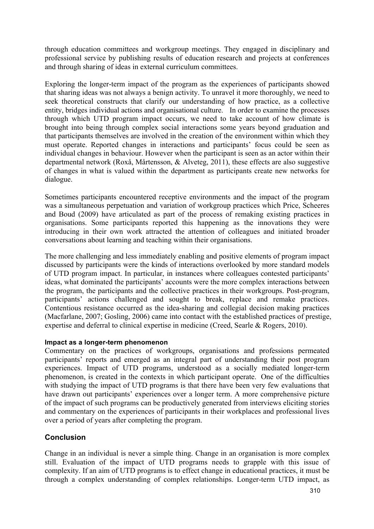through education committees and workgroup meetings. They engaged in disciplinary and professional service by publishing results of education research and projects at conferences and through sharing of ideas in external curriculum committees.

Exploring the longer-term impact of the program as the experiences of participants showed that sharing ideas was not always a benign activity. To unravel it more thoroughly, we need to seek theoretical constructs that clarify our understanding of how practice, as a collective entity, bridges individual actions and organisational culture. In order to examine the processes through which UTD program impact occurs, we need to take account of how climate is brought into being through complex social interactions some years beyond graduation and that participants themselves are involved in the creation of the environment within which they must operate. Reported changes in interactions and participants' focus could be seen as individual changes in behaviour. However when the participant is seen as an actor within their departmental network (Roxå, Mårtensson, & Alveteg, 2011), these effects are also suggestive of changes in what is valued within the department as participants create new networks for dialogue.

Sometimes participants encountered receptive environments and the impact of the program was a simultaneous perpetuation and variation of workgroup practices which Price, Scheeres and Boud (2009) have articulated as part of the process of remaking existing practices in organisations. Some participants reported this happening as the innovations they were introducing in their own work attracted the attention of colleagues and initiated broader conversations about learning and teaching within their organisations.

The more challenging and less immediately enabling and positive elements of program impact discussed by participants were the kinds of interactions overlooked by more standard models of UTD program impact. In particular, in instances where colleagues contested participants' ideas, what dominated the participants' accounts were the more complex interactions between the program, the participants and the collective practices in their workgroups. Post-program, participants' actions challenged and sought to break, replace and remake practices. Contentious resistance occurred as the idea-sharing and collegial decision making practices (Macfarlane, 2007; Gosling, 2006) came into contact with the established practices of prestige, expertise and deferral to clinical expertise in medicine (Creed, Searle & Rogers, 2010).

#### **Impact as a longer-term phenomenon**

Commentary on the practices of workgroups, organisations and professions permeated participants' reports and emerged as an integral part of understanding their post program experiences. Impact of UTD programs, understood as a socially mediated longer-term phenomenon, is created in the contexts in which participant operate. One of the difficulties with studying the impact of UTD programs is that there have been very few evaluations that have drawn out participants' experiences over a longer term. A more comprehensive picture of the impact of such programs can be productively generated from interviews eliciting stories and commentary on the experiences of participants in their workplaces and professional lives over a period of years after completing the program.

### **Conclusion**

Change in an individual is never a simple thing. Change in an organisation is more complex still. Evaluation of the impact of UTD programs needs to grapple with this issue of complexity. If an aim of UTD programs is to effect change in educational practices, it must be through a complex understanding of complex relationships. Longer-term UTD impact, as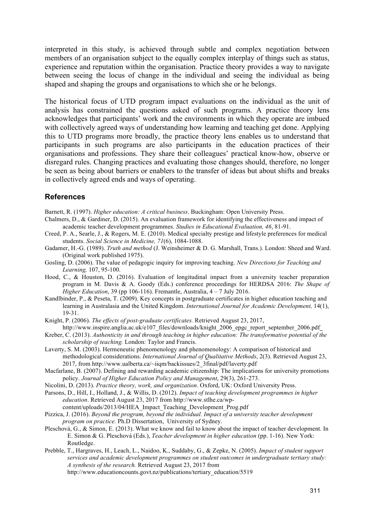interpreted in this study, is achieved through subtle and complex negotiation between members of an organisation subject to the equally complex interplay of things such as status, experience and reputation within the organisation. Practice theory provides a way to navigate between seeing the locus of change in the individual and seeing the individual as being shaped and shaping the groups and organisations to which she or he belongs.

The historical focus of UTD program impact evaluations on the individual as the unit of analysis has constrained the questions asked of such programs. A practice theory lens acknowledges that participants' work and the environments in which they operate are imbued with collectively agreed ways of understanding how learning and teaching get done. Applying this to UTD programs more broadly, the practice theory lens enables us to understand that participants in such programs are also participants in the education practices of their organisations and professions. They share their colleagues' practical know-how, observe or disregard rules. Changing practices and evaluating those changes should, therefore, no longer be seen as being about barriers or enablers to the transfer of ideas but about shifts and breaks in collectively agreed ends and ways of operating.

#### **References**

Barnett, R. (1997). *Higher education: A critical business*. Buckingham: Open University Press.

- Chalmers, D., & Gardiner, D. (2015). An evaluation framework for identifying the effectiveness and impact of academic teacher development programmes. *Studies in Educational Evaluation, 46*, 81-91.
- Creed, P. A., Searle, J., & Rogers, M. E. (2010). Medical specialty prestige and lifestyle preferences for medical students. *Social Science in Medicine, 71*(6), 1084-1088.
- Gadamer, H.-G. (1989). *Truth and method* (J. Weinsheimer & D. G. Marshall, Trans.). London: Sheed and Ward. (Original work published 1975).
- Gosling, D. (2006). The value of pedagogic inquiry for improving teaching. *New Directions for Teaching and Learning,* 107, 95-100.
- Hood, C., & Houston, D. (2016). Evaluation of longitudinal impact from a university teacher preparation program in M. Davis & A. Goody (Eds.) conference proceedings for HERDSA 2016: *The Shape of Higher Education*, 39 (pp 106-116). Fremantle, Australia, 4 – 7 July 2016.
- Kandlbinder, P., & Peseta, T. (2009). Key concepts in postgraduate certificates in higher education teaching and learning in Australasia and the United Kingdom. *International Journal for Academic Development*, 14(1), 19-31.
- Knight, P. (2006). *The effects of post-graduate certificates.* Retrieved August 23, 2017, http://www.inspire.anglia.ac.uk/e107\_files/downloads/knight\_2006\_epgc\_report\_september\_2006.pdf
- Kreber, C. (2013). *Authenticity in and through teaching in higher education: The transformative potential of the scholarship of teaching.* London: Taylor and Francis.
- Laverty, S. M. (2003). Hermeneutic phenomenology and phenomenology: A comparison of historical and methodological considerations. *International Journal of Qualitative Methods*, 2(3). Retrieved August 23, 2017, from http://www.ualberta.ca/~iiqm/backissues/2\_3final/pdf/laverty.pdf
- Macfarlane, B. (2007). Defining and rewarding academic citizenship: The implications for university promotions policy. *Journal of Higher Education Policy and Management*, 29(3), 261-273.
- Nicolini, D. (2013). *Practice theory, work, and organization*. Oxford, UK: Oxford University Press.
- Parsons, D., Hill, I., Holland, J., & Willis, D. (2012). *Impact of teaching development programmes in higher education*. Retrieved August 23, 2017 from http://www.stlhe.ca/wp-

content/uploads/2013/04/HEA\_Impact\_Teaching\_Development\_Prog.pdf

- Pizzica, J. (2016). *Beyond the program, beyond the individual. Impact of a university teacher development program on practice.* Ph.D Dissertation, University of Sydney.
- Pleschová, G., & Simon, E. (2013). What we know and fail to know about the impact of teacher development. In E. Simon & G. Pleschová (Eds.), *Teacher development in higher education* (pp. 1-16). New York: Routledge.
- Prebble, T., Hargraves, H., Leach, L., Naidoo, K., Suddaby, G., & Zepke, N. (2005). *Impact of student support services and academic development programmes on student outcomes in undergraduate tertiary study: A synthesis of the research.* Retrieved August 23, 2017 from

http://www.educationcounts.govt.nz/publications/tertiary\_education/5519